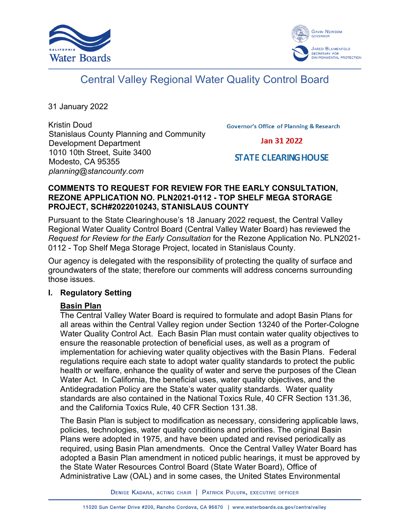



# Central Valley Regional Water Quality Control Board

31 January 2022

Kristin Doud Stanislaus County Planning and Community Development Department 1010 10th Street, Suite 3400 Modesto, CA 95355 *planning@stancounty.com*

**Governor's Office of Planning & Research** 

Jan 31 2022

## **STATE CLEARING HOUSE**

#### **COMMENTS TO REQUEST FOR REVIEW FOR THE EARLY CONSULTATION, REZONE APPLICATION NO. PLN2021-0112 - TOP SHELF MEGA STORAGE PROJECT, SCH#2022010243, STANISLAUS COUNTY**

Pursuant to the State Clearinghouse's 18 January 2022 request, the Central Valley Regional Water Quality Control Board (Central Valley Water Board) has reviewed the *Request for Review for the Early Consultation* for the Rezone Application No. PLN2021- 0112 - Top Shelf Mega Storage Project, located in Stanislaus County.

Our agency is delegated with the responsibility of protecting the quality of surface and groundwaters of the state; therefore our comments will address concerns surrounding those issues.

#### **I. Regulatory Setting**

#### **Basin Plan**

The Central Valley Water Board is required to formulate and adopt Basin Plans for all areas within the Central Valley region under Section 13240 of the Porter-Cologne Water Quality Control Act. Each Basin Plan must contain water quality objectives to ensure the reasonable protection of beneficial uses, as well as a program of implementation for achieving water quality objectives with the Basin Plans. Federal regulations require each state to adopt water quality standards to protect the public health or welfare, enhance the quality of water and serve the purposes of the Clean Water Act. In California, the beneficial uses, water quality objectives, and the Antidegradation Policy are the State's water quality standards. Water quality standards are also contained in the National Toxics Rule, 40 CFR Section 131.36, and the California Toxics Rule, 40 CFR Section 131.38.

The Basin Plan is subject to modification as necessary, considering applicable laws, policies, technologies, water quality conditions and priorities. The original Basin Plans were adopted in 1975, and have been updated and revised periodically as required, using Basin Plan amendments. Once the Central Valley Water Board has adopted a Basin Plan amendment in noticed public hearings, it must be approved by the State Water Resources Control Board (State Water Board), Office of Administrative Law (OAL) and in some cases, the United States Environmental

DENISE KADARA, ACTING CHAIR | PATRICK PULUPA, EXECUTIVE OFFICER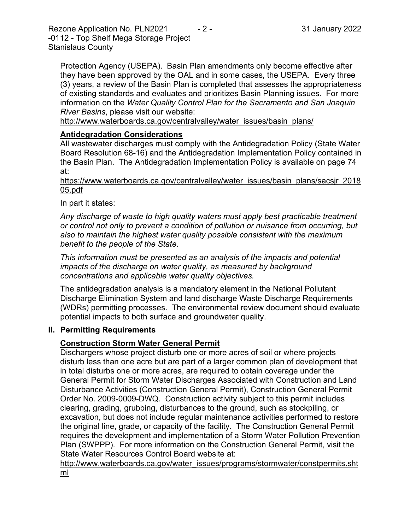Rezone Application No. PLN2021  $-2$  - 31 January 2022 -0112 - Top Shelf Mega Storage Project Stanislaus County

Protection Agency (USEPA). Basin Plan amendments only become effective after they have been approved by the OAL and in some cases, the USEPA. Every three (3) years, a review of the Basin Plan is completed that assesses the appropriateness of existing standards and evaluates and prioritizes Basin Planning issues. For more information on the *Water Quality Control Plan for the Sacramento and San Joaquin River Basins*, please visit our website:

[http://www.waterboards.ca.gov/centralvalley/water\\_issues/basin\\_plans/](http://www.waterboards.ca.gov/centralvalley/water_issues/basin_plans/)

## **Antidegradation Considerations**

All wastewater discharges must comply with the Antidegradation Policy (State Water Board Resolution 68-16) and the Antidegradation Implementation Policy contained in the Basin Plan. The Antidegradation Implementation Policy is available on page 74 at:

https://www.waterboards.ca.gov/centralvalley/water\_issues/basin\_plans/sacsjr\_2018 05.pdf

In part it states:

*Any discharge of waste to high quality waters must apply best practicable treatment or control not only to prevent a condition of pollution or nuisance from occurring, but also to maintain the highest water quality possible consistent with the maximum benefit to the people of the State.*

*This information must be presented as an analysis of the impacts and potential impacts of the discharge on water quality, as measured by background concentrations and applicable water quality objectives.*

The antidegradation analysis is a mandatory element in the National Pollutant Discharge Elimination System and land discharge Waste Discharge Requirements (WDRs) permitting processes. The environmental review document should evaluate potential impacts to both surface and groundwater quality.

#### **II. Permitting Requirements**

## **Construction Storm Water General Permit**

Dischargers whose project disturb one or more acres of soil or where projects disturb less than one acre but are part of a larger common plan of development that in total disturbs one or more acres, are required to obtain coverage under the General Permit for Storm Water Discharges Associated with Construction and Land Disturbance Activities (Construction General Permit), Construction General Permit Order No. 2009-0009-DWQ. Construction activity subject to this permit includes clearing, grading, grubbing, disturbances to the ground, such as stockpiling, or excavation, but does not include regular maintenance activities performed to restore the original line, grade, or capacity of the facility. The Construction General Permit requires the development and implementation of a Storm Water Pollution Prevention Plan (SWPPP). For more information on the Construction General Permit, visit the State Water Resources Control Board website at:

[http://www.waterboards.ca.gov/water\\_issues/programs/stormwater/constpermits.sht](http://www.waterboards.ca.gov/water_issues/programs/stormwater/constpermits.shtml) [ml](http://www.waterboards.ca.gov/water_issues/programs/stormwater/constpermits.shtml)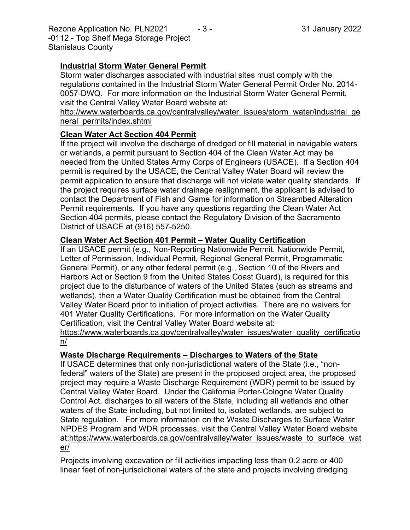Rezone Application No. PLN2021  $-3$  -  $3$  -  $31$  January 2022 -0112 - Top Shelf Mega Storage Project Stanislaus County

## **Industrial Storm Water General Permit**

Storm water discharges associated with industrial sites must comply with the regulations contained in the Industrial Storm Water General Permit Order No. 2014- 0057-DWQ. For more information on the Industrial Storm Water General Permit, visit the Central Valley Water Board website at:

http://www.waterboards.ca.gov/centralvalley/water\_issues/storm\_water/industrial\_ge neral\_permits/index.shtml

## **Clean Water Act Section 404 Permit**

If the project will involve the discharge of dredged or fill material in navigable waters or wetlands, a permit pursuant to Section 404 of the Clean Water Act may be needed from the United States Army Corps of Engineers (USACE). If a Section 404 permit is required by the USACE, the Central Valley Water Board will review the permit application to ensure that discharge will not violate water quality standards. If the project requires surface water drainage realignment, the applicant is advised to contact the Department of Fish and Game for information on Streambed Alteration Permit requirements. If you have any questions regarding the Clean Water Act Section 404 permits, please contact the Regulatory Division of the Sacramento District of USACE at (916) 557-5250.

## **Clean Water Act Section 401 Permit – Water Quality Certification**

If an USACE permit (e.g., Non-Reporting Nationwide Permit, Nationwide Permit, Letter of Permission, Individual Permit, Regional General Permit, Programmatic General Permit), or any other federal permit (e.g., Section 10 of the Rivers and Harbors Act or Section 9 from the United States Coast Guard), is required for this project due to the disturbance of waters of the United States (such as streams and wetlands), then a Water Quality Certification must be obtained from the Central Valley Water Board prior to initiation of project activities. There are no waivers for 401 Water Quality Certifications. For more information on the Water Quality Certification, visit the Central Valley Water Board website at:

https://www.waterboards.ca.gov/centralvalley/water\_issues/water\_quality\_certificatio n/

# **Waste Discharge Requirements – Discharges to Waters of the State**

If USACE determines that only non-jurisdictional waters of the State (i.e., "nonfederal" waters of the State) are present in the proposed project area, the proposed project may require a Waste Discharge Requirement (WDR) permit to be issued by Central Valley Water Board. Under the California Porter-Cologne Water Quality Control Act, discharges to all waters of the State, including all wetlands and other waters of the State including, but not limited to, isolated wetlands, are subject to State regulation. For more information on the Waste Discharges to Surface Water NPDES Program and WDR processes, visit the Central Valley Water Board website at:https://www.waterboards.ca.gov/centralvalley/water\_issues/waste\_to\_surface\_wat er/

Projects involving excavation or fill activities impacting less than 0.2 acre or 400 linear feet of non-jurisdictional waters of the state and projects involving dredging